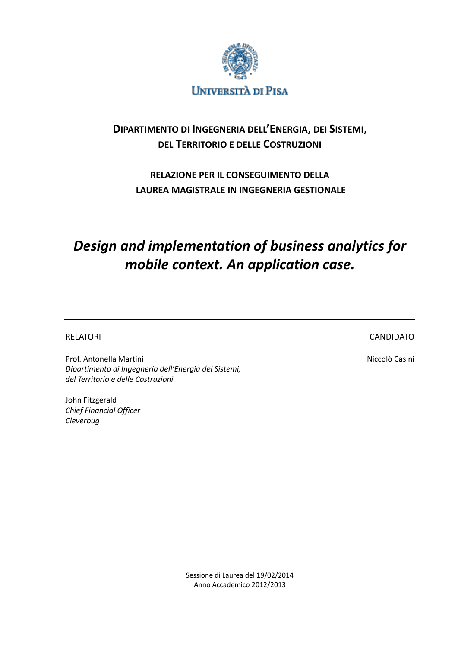

# **DIPARTIMENTO DI INGEGNERIA DELL'ENERGIA, DEI SISTEMI, DEL TERRITORIO E DELLE COSTRUZIONI**

# **RELAZIONE PER IL CONSEGUIMENTO DELLA LAUREA MAGISTRALE IN INGEGNERIA GESTIONALE**

# *Design and implementation of business analytics for mobile context. An application case.*

RELATORI EN ENTREGIA EL CANDIDATO EL CANDIDATO EL CANDIDATO EL CANDIDATO EL CANDIDATO

Prof. Antonella Martini Niccolò Casini Niccolò Casini *Dipartimento di Ingegneria dell'Energia dei Sistemi, del Territorio e delle Costruzioni*

John Fitzgerald *Chief Financial Officer Cleverbug*

Sessione di Laurea del 19/02/2014 Anno Accademico 2012/2013